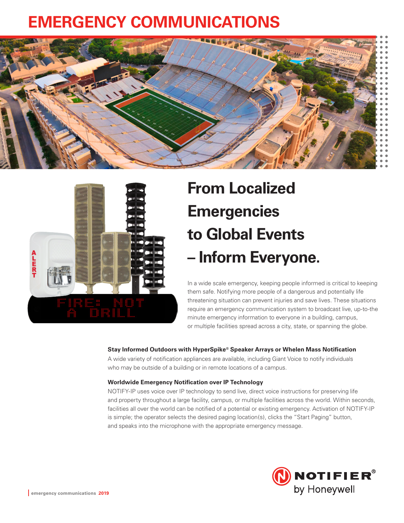## **EMERGENCY COMMUNICATIONS**





# **From Localized Emergencies to Global Events – Inform Everyone.**

In a wide scale emergency, keeping people informed is critical to keeping them safe. Notifying more people of a dangerous and potentially life threatening situation can prevent injuries and save lives. These situations require an emergency communication system to broadcast live, up-to-the minute emergency information to everyone in a building, campus, or multiple facilities spread across a city, state, or spanning the globe.

### **Stay Informed Outdoors with HyperSpike® Speaker Arrays or Whelen Mass Notification**

A wide variety of notification appliances are available, including Giant Voice to notify individuals who may be outside of a building or in remote locations of a campus.

#### **Worldwide Emergency Notification over IP Technology**

NOTIFY-IP uses voice over IP technology to send live, direct voice instructions for preserving life and property throughout a large facility, campus, or multiple facilities across the world. Within seconds, facilities all over the world can be notified of a potential or existing emergency. Activation of NOTIFY-IP is simple; the operator selects the desired paging location(s), clicks the "Start Paging" button, and speaks into the microphone with the appropriate emergency message.